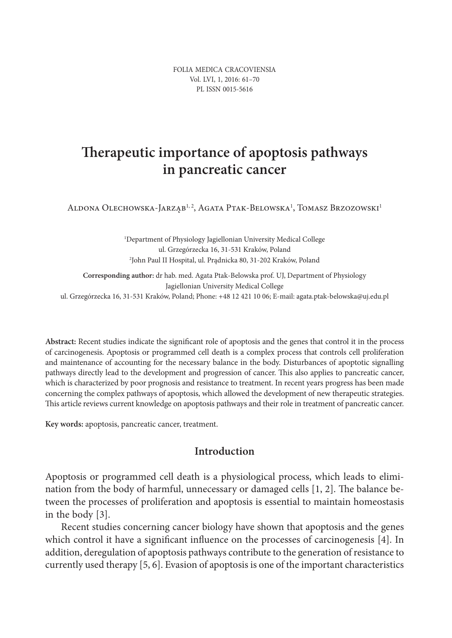FOLIA MEDICA CRACOVIENSIA Vol. LVI, 1, 2016: 61–70 PL ISSN 0015-5616

# **Therapeutic importance of apoptosis pathways in pancreatic cancer**

Aldona Olechowska-Jarząb<sup>1, 2</sup>, Agata Ptak-Belowska<sup>1</sup>, Tomasz Brzozowski<sup>1</sup>

1 Department of Physiology Jagiellonian University Medical College ul. Grzegórzecka 16, 31-531 Kraków, Poland 2 John Paul II Hospital, ul. Prądnicka 80, 31-202 Kraków, Poland

**Corresponding author:** dr hab. med. Agata Ptak-Belowska prof. UJ, Department of Physiology Jagiellonian University Medical College ul. Grzegórzecka 16, 31-531 Kraków, Poland; Phone: +48 12 421 10 06; E-mail: agata.ptak-belowska@uj.edu.pl

**Abstract:** Recent studies indicate the significant role of apoptosis and the genes that control it in the process of carcinogenesis. Apoptosis or programmed cell death is a complex process that controls cell proliferation and maintenance of accounting for the necessary balance in the body. Disturbances of apoptotic signalling pathways directly lead to the development and progression of cancer. This also applies to pancreatic cancer, which is characterized by poor prognosis and resistance to treatment. In recent years progress has been made concerning the complex pathways of apoptosis, which allowed the development of new therapeutic strategies. This article reviews current knowledge on apoptosis pathways and their role in treatment of pancreatic cancer.

**Key words:** apoptosis, pancreatic cancer, treatment.

### **Introduction**

Apoptosis or programmed cell death is a physiological process, which leads to elimination from the body of harmful, unnecessary or damaged cells [1, 2]. The balance between the processes of proliferation and apoptosis is essential to maintain homeostasis in the body [3].

Recent studies concerning cancer biology have shown that apoptosis and the genes which control it have a significant influence on the processes of carcinogenesis [4]. In addition, deregulation of apoptosis pathways contribute to the generation of resistance to currently used therapy [5, 6]. Evasion of apoptosis is one of the important characteristics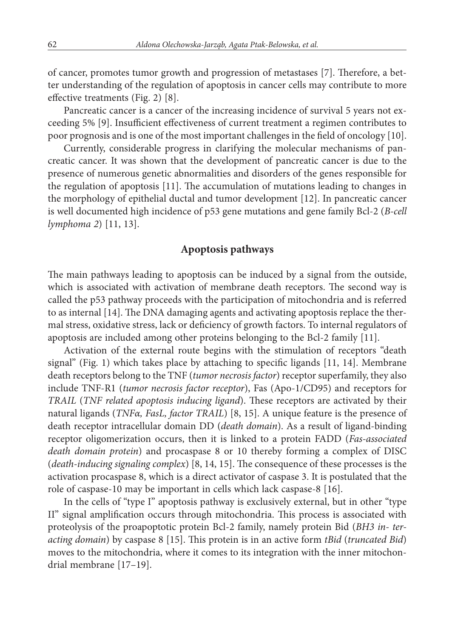of cancer, promotes tumor growth and progression of metastases [7]. Therefore, a better understanding of the regulation of apoptosis in cancer cells may contribute to more effective treatments (Fig. 2) [8].

Pancreatic cancer is a cancer of the increasing incidence of survival 5 years not exceeding 5% [9]. Insufficient effectiveness of current treatment a regimen contributes to poor prognosis and is one of the most important challenges in the field of oncology [10].

Currently, considerable progress in clarifying the molecular mechanisms of pancreatic cancer. It was shown that the development of pancreatic cancer is due to the presence of numerous genetic abnormalities and disorders of the genes responsible for the regulation of apoptosis [11]. The accumulation of mutations leading to changes in the morphology of epithelial ductal and tumor development [12]. In pancreatic cancer is well documented high incidence of p53 gene mutations and gene family Bcl-2 (*B-cell lymphoma 2*) [11, 13].

### **Apoptosis pathways**

The main pathways leading to apoptosis can be induced by a signal from the outside, which is associated with activation of membrane death receptors. The second way is called the p53 pathway proceeds with the participation of mitochondria and is referred to as internal [14]. The DNA damaging agents and activating apoptosis replace the thermal stress, oxidative stress, lack or deficiency of growth factors. To internal regulators of apoptosis are included among other proteins belonging to the Bcl-2 family [11].

Activation of the external route begins with the stimulation of receptors "death signal" (Fig. 1) which takes place by attaching to specific ligands [11, 14]. Membrane death receptors belong to the TNF (*tumor necrosis factor*) receptor superfamily, they also include TNF-R1 (*tumor necrosis factor receptor*), Fas (Apo-1/CD95) and receptors for *TRAIL* (*TNF related apoptosis inducing ligand*). These receptors are activated by their natural ligands (*TNFα, FasL, factor TRAIL*) [8, 15]. A unique feature is the presence of death receptor intracellular domain DD (*death domain*). As a result of ligand-binding receptor oligomerization occurs, then it is linked to a protein FADD (*Fas-associated death domain protein*) and procaspase 8 or 10 thereby forming a complex of DISC (*death-inducing signaling complex*) [8, 14, 15]. The consequence of these processes is the activation procaspase 8, which is a direct activator of caspase 3. It is postulated that the role of caspase-10 may be important in cells which lack caspase-8 [16].

In the cells of "type I" apoptosis pathway is exclusively external, but in other "type II" signal amplification occurs through mitochondria. This process is associated with proteolysis of the proapoptotic protein Bcl-2 family, namely protein Bid (*BH3 in- teracting domain*) by caspase 8 [15]. This protein is in an active form *tBid* (*truncated Bid*) moves to the mitochondria, where it comes to its integration with the inner mitochondrial membrane [17–19].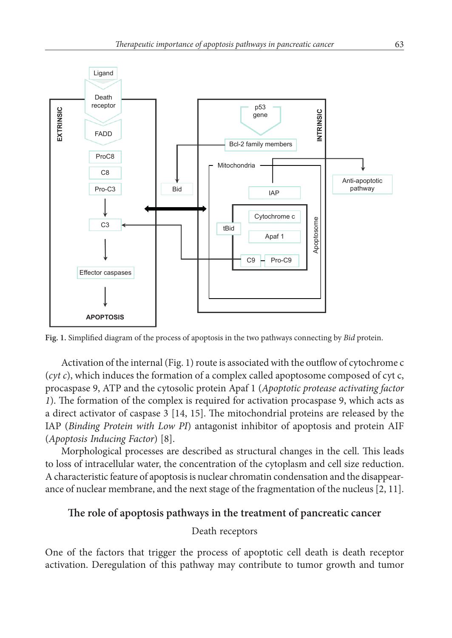

**Fig. 1.** Simplified diagram of the process of apoptosis in the two pathways connecting by *Bid* protein.

Activation of the internal (Fig. 1) route is associated with the outflow of cytochrome c (*cyt c*), which induces the formation of a complex called apoptosome composed of cyt c, procaspase 9, ATP and the cytosolic protein Apaf 1 (*Apoptotic protease activating factor 1*). The formation of the complex is required for activation procaspase 9, which acts as a direct activator of caspase 3 [14, 15]. The mitochondrial proteins are released by the IAP (*Binding Protein with Low PI*) antagonist inhibitor of apoptosis and protein AIF (*Apoptosis Inducing Factor*) [8].

Morphological processes are described as structural changes in the cell. This leads to loss of intracellular water, the concentration of the cytoplasm and cell size reduction. A characteristic feature of apoptosis is nuclear chromatin condensation and the disappearance of nuclear membrane, and the next stage of the fragmentation of the nucleus [2, 11].

# **The role of apoptosis pathways in the treatment of pancreatic cancer**

### Death receptors

One of the factors that trigger the process of apoptotic cell death is death receptor activation. Deregulation of this pathway may contribute to tumor growth and tumor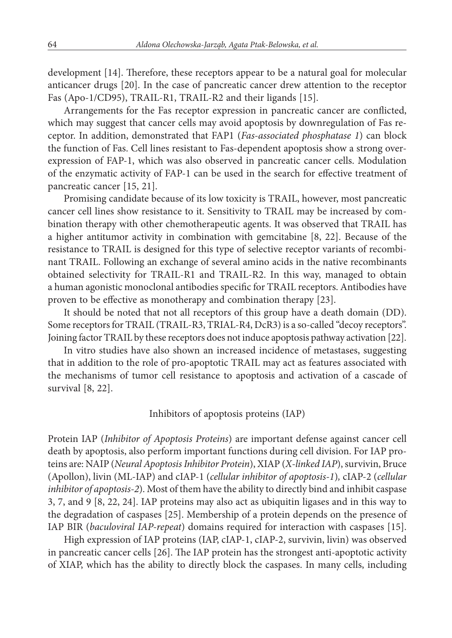development [14]. Therefore, these receptors appear to be a natural goal for molecular anticancer drugs [20]. In the case of pancreatic cancer drew attention to the receptor Fas (Apo-1/CD95), TRAIL-R1, TRAIL-R2 and their ligands [15].

Arrangements for the Fas receptor expression in pancreatic cancer are conflicted, which may suggest that cancer cells may avoid apoptosis by downregulation of Fas receptor. In addition, demonstrated that FAP1 (*Fas-associated phosphatase 1*) can block the function of Fas. Cell lines resistant to Fas-dependent apoptosis show a strong overexpression of FAP-1, which was also observed in pancreatic cancer cells. Modulation of the enzymatic activity of FAP-1 can be used in the search for effective treatment of pancreatic cancer [15, 21].

Promising candidate because of its low toxicity is TRAIL, however, most pancreatic cancer cell lines show resistance to it. Sensitivity to TRAIL may be increased by combination therapy with other chemotherapeutic agents. It was observed that TRAIL has a higher antitumor activity in combination with gemcitabine [8, 22]. Because of the resistance to TRAIL is designed for this type of selective receptor variants of recombinant TRAIL. Following an exchange of several amino acids in the native recombinants obtained selectivity for TRAIL-R1 and TRAIL-R2. In this way, managed to obtain a human agonistic monoclonal antibodies specific for TRAIL receptors. Antibodies have proven to be effective as monotherapy and combination therapy [23].

It should be noted that not all receptors of this group have a death domain (DD). Some receptors for TRAIL (TRAIL-R3, TRIAL-R4, DcR3) is a so-called "decoy receptors". Joining factor TRAIL by these receptors does not induce apoptosis pathway activation [22].

In vitro studies have also shown an increased incidence of metastases, suggesting that in addition to the role of pro-apoptotic TRAIL may act as features associated with the mechanisms of tumor cell resistance to apoptosis and activation of a cascade of survival [8, 22].

#### Inhibitors of apoptosis proteins (IAP)

Protein IAP (*Inhibitor of Apoptosis Proteins*) are important defense against cancer cell death by apoptosis, also perform important functions during cell division. For IAP proteins are: NAIP (*Neural Apoptosis Inhibitor Protein*), XIAP (*X-linked IAP*), survivin, Bruce (Apollon), livin (ML-IAP) and cIAP-1 (*cellular inhibitor of apoptosis-1*)*,* cIAP-2 (*cellular inhibitor of apoptosis-2*). Most of them have the ability to directly bind and inhibit caspase 3, 7, and 9 [8, 22, 24]. IAP proteins may also act as ubiquitin ligases and in this way to the degradation of caspases [25]. Membership of a protein depends on the presence of IAP BIR (*baculoviral IAP-repeat*) domains required for interaction with caspases [15].

High expression of IAP proteins (IAP, cIAP-1, cIAP-2, survivin, livin) was observed in pancreatic cancer cells [26]. The IAP protein has the strongest anti-apoptotic activity of XIAP, which has the ability to directly block the caspases. In many cells, including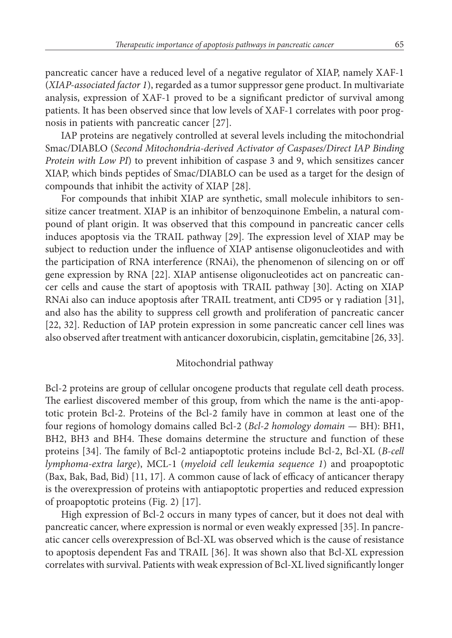pancreatic cancer have a reduced level of a negative regulator of XIAP, namely XAF-1 (*XIAP-associated factor 1*), regarded as a tumor suppressor gene product. In multivariate analysis, expression of XAF-1 proved to be a significant predictor of survival among patients. It has been observed since that low levels of XAF-1 correlates with poor prognosis in patients with pancreatic cancer [27].

IAP proteins are negatively controlled at several levels including the mitochondrial Smac/DIABLO (*Second Mitochondria-derived Activator of Caspases/Direct IAP Binding Protein with Low PI*) to prevent inhibition of caspase 3 and 9, which sensitizes cancer XIAP, which binds peptides of Smac/DIABLO can be used as a target for the design of compounds that inhibit the activity of XIAP [28].

For compounds that inhibit XIAP are synthetic, small molecule inhibitors to sensitize cancer treatment. XIAP is an inhibitor of benzoquinone Embelin, a natural compound of plant origin. It was observed that this compound in pancreatic cancer cells induces apoptosis via the TRAIL pathway [29]. The expression level of XIAP may be subject to reduction under the influence of XIAP antisense oligonucleotides and with the participation of RNA interference (RNAi), the phenomenon of silencing on or off gene expression by RNA [22]. XIAP antisense oligonucleotides act on pancreatic cancer cells and cause the start of apoptosis with TRAIL pathway [30]. Acting on XIAP RNAi also can induce apoptosis after TRAIL treatment, anti CD95 or γ radiation [31], and also has the ability to suppress cell growth and proliferation of pancreatic cancer [22, 32]. Reduction of IAP protein expression in some pancreatic cancer cell lines was also observed after treatment with anticancer doxorubicin, cisplatin, gemcitabine [26, 33].

#### Mitochondrial pathway

Bcl-2 proteins are group of cellular oncogene products that regulate cell death process. The earliest discovered member of this group, from which the name is the anti-apoptotic protein Bcl-2. Proteins of the Bcl-2 family have in common at least one of the four regions of homology domains called Bcl-2 (*Bcl-2 homology domain —* BH): BH1, BH2, BH3 and BH4. These domains determine the structure and function of these proteins [34]. The family of Bcl-2 antiapoptotic proteins include Bcl-2, Bcl-XL (*B-cell lymphoma-extra large*), MCL-1 (*myeloid cell leukemia sequence 1*) and proapoptotic (Bax, Bak, Bad, Bid) [11, 17]. A common cause of lack of efficacy of anticancer therapy is the overexpression of proteins with antiapoptotic properties and reduced expression of proapoptotic proteins (Fig. 2) [17].

High expression of Bcl-2 occurs in many types of cancer, but it does not deal with pancreatic cancer, where expression is normal or even weakly expressed [35]. In pancreatic cancer cells overexpression of Bcl-XL was observed which is the cause of resistance to apoptosis dependent Fas and TRAIL [36]. It was shown also that Bcl-XL expression correlates with survival. Patients with weak expression of Bcl-XL lived significantly longer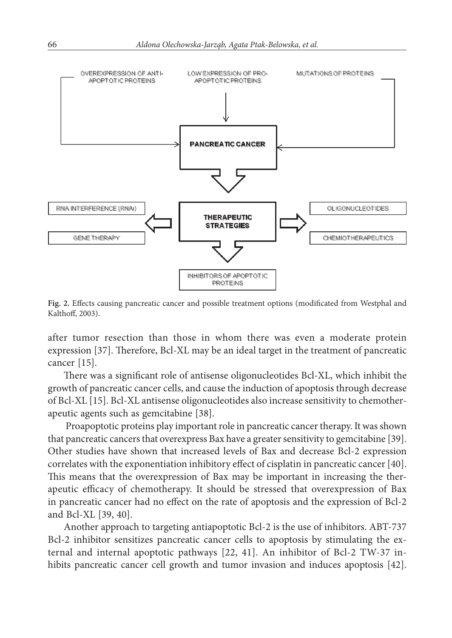

**Fig. 2.** Effects causing pancreatic cancer and possible treatment options (modificated from Westphal and Kalthoff, 2003).

after tumor resection than those in whom there was even a moderate protein expression [37]. Therefore, Bcl-XL may be an ideal target in the treatment of pancreatic cancer [15].

There was a significant role of antisense oligonucleotides Bcl-XL, which inhibit the growth of pancreatic cancer cells, and cause the induction of apoptosis through decrease of Bcl-XL [15]. Bcl-XL antisense oligonucleotides also increase sensitivity to chemotherapeutic agents such as gemcitabine [38].

 Proapoptotic proteins play important role in pancreatic cancer therapy. It was shown that pancreatic cancers that overexpress Bax have a greater sensitivity to gemcitabine [39]. Other studies have shown that increased levels of Bax and decrease Bcl-2 expression correlates with the exponentiation inhibitory effect of cisplatin in pancreatic cancer [40]. This means that the overexpression of Bax may be important in increasing the therapeutic efficacy of chemotherapy. It should be stressed that overexpression of Bax in pancreatic cancer had no effect on the rate of apoptosis and the expression of Bcl-2 and Bcl-XL [39, 40].

Another approach to targeting antiapoptotic Bcl-2 is the use of inhibitors. ABT-737 Bcl-2 inhibitor sensitizes pancreatic cancer cells to apoptosis by stimulating the external and internal apoptotic pathways [22, 41]. An inhibitor of Bcl-2 TW-37 inhibits pancreatic cancer cell growth and tumor invasion and induces apoptosis [42].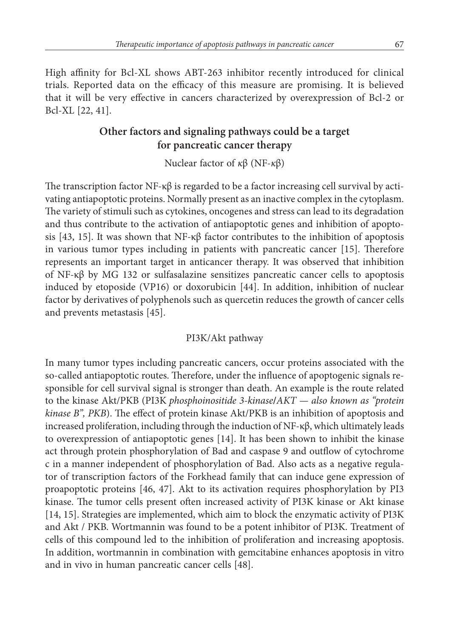High affinity for Bcl-XL shows ABT-263 inhibitor recently introduced for clinical trials. Reported data on the efficacy of this measure are promising. It is believed that it will be very effective in cancers characterized by overexpression of Bcl-2 or Bcl-XL [22, 41].

# **Other factors and signaling pathways could be a target for pancreatic cancer therapy**

Nuclear factor of *κ*β (NF-*κ*β)

The transcription factor NF-κ $\beta$  is regarded to be a factor increasing cell survival by activating antiapoptotic proteins. Normally present as an inactive complex in the cytoplasm. The variety of stimuli such as cytokines, oncogenes and stress can lead to its degradation and thus contribute to the activation of antiapoptotic genes and inhibition of apoptosis [43, 15]. It was shown that  $NF-\kappa\beta$  factor contributes to the inhibition of apoptosis in various tumor types including in patients with pancreatic cancer [15]. Therefore represents an important target in anticancer therapy. It was observed that inhibition of NF-κβ by MG 132 or sulfasalazine sensitizes pancreatic cancer cells to apoptosis induced by etoposide (VP16) or doxorubicin [44]. In addition, inhibition of nuclear factor by derivatives of polyphenols such as quercetin reduces the growth of cancer cells and prevents metastasis [45].

### PI3K/Akt pathway

In many tumor types including pancreatic cancers, occur proteins associated with the so-called antiapoptotic routes. Therefore, under the influence of apoptogenic signals responsible for cell survival signal is stronger than death. An example is the route related to the kinase Akt/PKB (PI3K *phosphoinositide 3-kinase***/***AKT — also known as "protein kinase B", PKB*). The effect of protein kinase Akt/PKB is an inhibition of apoptosis and increased proliferation, including through the induction of NF-κβ, which ultimately leads to overexpression of antiapoptotic genes [14]. It has been shown to inhibit the kinase act through protein phosphorylation of Bad and caspase 9 and outflow of cytochrome c in a manner independent of phosphorylation of Bad. Also acts as a negative regulator of transcription factors of the Forkhead family that can induce gene expression of proapoptotic proteins [46, 47]. Akt to its activation requires phosphorylation by PI3 kinase. The tumor cells present often increased activity of PI3K kinase or Akt kinase [14, 15]. Strategies are implemented, which aim to block the enzymatic activity of PI3K and Akt / PKB. Wortmannin was found to be a potent inhibitor of PI3K. Treatment of cells of this compound led to the inhibition of proliferation and increasing apoptosis. In addition, wortmannin in combination with gemcitabine enhances apoptosis in vitro and in vivo in human pancreatic cancer cells [48].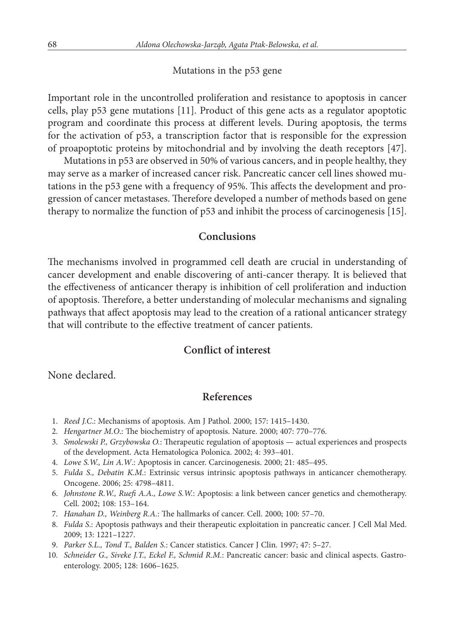#### Mutations in the p53 gene

Important role in the uncontrolled proliferation and resistance to apoptosis in cancer cells, play p53 gene mutations [11]. Product of this gene acts as a regulator apoptotic program and coordinate this process at different levels. During apoptosis, the terms for the activation of p53, a transcription factor that is responsible for the expression of proapoptotic proteins by mitochondrial and by involving the death receptors [47].

Mutations in p53 are observed in 50% of various cancers, and in people healthy, they may serve as a marker of increased cancer risk. Pancreatic cancer cell lines showed mutations in the p53 gene with a frequency of 95%. This affects the development and progression of cancer metastases. Therefore developed a number of methods based on gene therapy to normalize the function of p53 and inhibit the process of carcinogenesis [15].

### **Conclusions**

The mechanisms involved in programmed cell death are crucial in understanding of cancer development and enable discovering of anti-cancer therapy. It is believed that the effectiveness of anticancer therapy is inhibition of cell proliferation and induction of apoptosis. Therefore, a better understanding of molecular mechanisms and signaling pathways that affect apoptosis may lead to the creation of a rational anticancer strategy that will contribute to the effective treatment of cancer patients.

## **Conflict of interest**

None declared.

### **References**

- 11. *Reed J.C*.: Mechanisms of apoptosis. Am J Pathol. 2000; 157: 1415–1430.
- 12. *Hengartner M.O*.: The biochemistry of apoptosis. Nature. 2000; 407: 770–776.
- 13. *Smolewski P., Grzybowska O.*: Therapeutic regulation of apoptosis actual experiences and prospects of the development. Acta Hematologica Polonica. 2002; 4: 393–401.
- 14. *Lowe S.W., Lin A.W*.: Apoptosis in cancer. Carcinogenesis. 2000; 21: 485–495.
- 15. *Fulda S., Debatin K.M.*: Extrinsic versus intrinsic apoptosis pathways in anticancer chemotherapy. Oncogene. 2006; 25: 4798–4811.
- 16. *Johnstone R.W., Ruefi A.A., Lowe S.W.*: Apoptosis: a link between cancer genetics and chemotherapy. Cell. 2002; 108: 153–164.
- 17. *Hanahan D., Weinberg R.A.*: The hallmarks of cancer. Cell. 2000; 100: 57–70.
- 18. *Fulda S*.: Apoptosis pathways and their therapeutic exploitation in pancreatic cancer. J Cell Mal Med. 2009; 13: 1221–1227.
- 19. *Parker S.L., Tond T., Balden S.*: Cancer statistics. Cancer J Clin. 1997; 47: 5–27.
- 10. *Schneider G., Siveke J.T., Eckel F., Schmid R.M.*: Pancreatic cancer: basic and clinical aspects. Gastroenterology. 2005; 128: 1606–1625.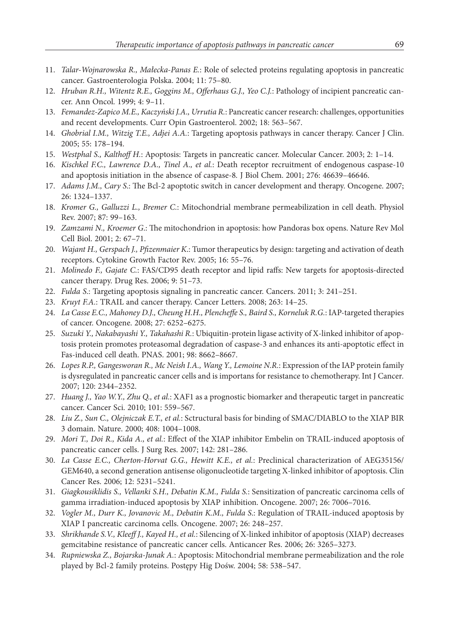- 11. *Talar-Wojnarowska R., Małecka-Panas E.*: Role of selected proteins regulating apoptosis in pancreatic cancer. Gastroenterologia Polska. 2004; 11: 75–80.
- 12. *Hruban R.H., Witentz R.E., Goggins M., Offerhaus G.J., Yeo C.J.*: Pathology of incipient pancreatic cancer. Ann Oncol. 1999; 4: 9–11.
- 13. *Femandez-Zapico M.E., Kaczyński J.A., Urrutia R.*: Pancreatic cancer research: challenges, opportunities and recent developments. Curr Opin Gastroenterol. 2002; 18: 563–567.
- 14. *Ghobrial I.M., Witzig T.E., Adjei A.A.*: Targeting apoptosis pathways in cancer therapy. Cancer J Clin. 2005; 55: 178–194.
- 15. *Westphal S., Kalthoff H.*: Apoptosis: Targets in pancreatic cancer. Molecular Cancer. 2003; 2: 1–14.
- 16. *Kischkel F.C., Lawrence D.A., Tinel A., et al.*: Death receptor recruitment of endogenous caspase-10 and apoptosis initiation in the absence of caspase-8*.* J Biol Chem. 2001; 276: 46639–46646.
- 17. *Adams J.M., Cary S*.: The Bcl-2 apoptotic switch in cancer development and therapy. Oncogene. 2007; 26: 1324–1337.
- 18. *Kromer G., Galluzzi L., Bremer C.*: Mitochondrial membrane permeabilization in cell death. Physiol Rev. 2007; 87: 99–163.
- 19. *Zamzami N., Kroemer G*.: The mitochondrion in apoptosis: how Pandoras box opens. Nature Rev Mol Cell Biol. 2001; 2: 67–71.
- 20. *Wajant H., Gerspach J., Pfizenmaier K*.: Tumor therapeutics by design: targeting and activation of death receptors. Cytokine Growth Factor Rev. 2005; 16: 55–76.
- 21. *Molinedo F., Gajate C.*: FAS/CD95 death receptor and lipid raffs: New targets for apoptosis-directed cancer therapy. Drug Res. 2006; 9: 51–73.
- 22. *Fulda S*.: Targeting apoptosis signaling in pancreatic cancer. Cancers. 2011; 3: 241–251.
- 23. *Kruyt F.A.*: TRAIL and cancer therapy. Cancer Letters. 2008; 263: 14–25.
- 24. *La Casse E.C., Mahoney D.J., Cheung H.H., Plencheffe S., Baird S., Korneluk R.G.*: IAP-targeted therapies of cancer. Oncogene. 2008; 27: 6252–6275.
- 25. *Suzuki Y., Nakabayashi Y., Takahashi R.*: Ubiquitin-protein ligase activity of X-linked inhibitor of apoptosis protein promotes proteasomal degradation of caspase-3 and enhances its anti-apoptotic effect in Fas-induced cell death. PNAS. 2001; 98: 8662–8667.
- 26. *Lopes R.P., Gangesworan R., Mc Neish I.A., Wang Y., Lemoine N.R.*: Expression of the IAP protein family is dysregulated in pancreatic cancer cells and is importans for resistance to chemotherapy. Int J Cancer*.* 2007; 120: 2344–2352.
- 27. *Huang J., Yao W.Y., Zhu Q., et al.*: XAF1 as a prognostic biomarker and therapeutic target in pancreatic cancer. Cancer Sci. 2010; 101: 559–567.
- 28. *Liu Z., Sun C., Olejniczak E.T., et al.*: Sctructural basis for binding of SMAC/DIABLO to the XIAP BIR 3 domain. Nature. 2000; 408: 1004–1008.
- 29. *Mori T., Doi R., Kida A., et al.*: Effect of the XIAP inhibitor Embelin on TRAIL-induced apoptosis of pancreatic cancer cells. J Surg Res. 2007; 142: 281–286.
- 30. *La Casse E.C., Cherton-Horvat G.G., Hewitt K.E., et al.*: Preclinical characterization of AEG35156/ GEM640, a second generation antisense oligonucleotide targeting X-linked inhibitor of apoptosis. Clin Cancer Res. 2006; 12: 5231–5241.
- 31. *Giagkousiklidis S., Vellanki S.H., Debatin K.M., Fulda S.*: Sensitization of pancreatic carcinoma cells of gamma irradiation-induced apoptosis by XIAP inhibition. Oncogene. 2007; 26: 7006–7016.
- 32. *Vogler M., Durr K., Jovanovic M., Debatin K.M., Fulda S*.: Regulation of TRAIL-induced apoptosis by XIAP I pancreatic carcinoma cells. Oncogene. 2007; 26: 248–257.
- 33. *Shrikhande S.V., Kleeff J., Kayed H., et al.*: Silencing of X-linked inhibitor of apoptosis (XIAP) decreases gemcitabine resistance of pancreatic cancer cells. Anticancer Res. 2006; 26: 3265–3273.
- 34. *Rupniewska Z., Bojarska-Junak A.*: Apoptosis: Mitochondrial membrane permeabilization and the role played by Bcl-2 family proteins. Postępy Hig Dośw. 2004; 58: 538–547.